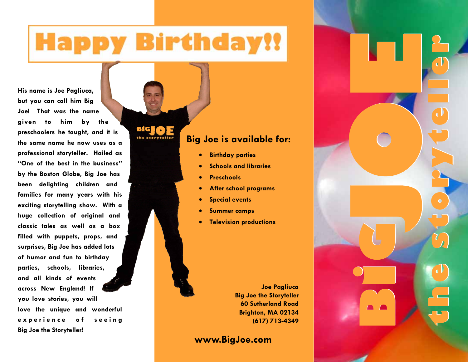# **Happy Birthday!!**

BIG

**His name is Joe Pagliuca, but you can call him Big Joe! That was the name given to him by the preschoolers he taught, and it is the same name he now uses as a professional storyteller. Hailed as "One of the best in the business" by the Boston Globe, Big Joe has been delighting children and families for many years with his exciting storytelling show. With a huge collection of original and classic tales as well as a box filled with puppets, props, and surprises, Big Joe has added lots of humor and fun to birthday parties, schools, libraries, and all kinds of events across New England! If you love stories, you will love the unique and wonderful**  experience of seeing **Big Joe the Storyteller!**

# **Big Joe is available for:**

- **Birthday parties**
- **Schools and libraries**
- **Preschools**
- **After school programs**
- **Special events**
- **Summer camps**
- **Television productions**

**Joe Pagliuca Big Joe the Storyteller 60 Sutherland Road Brighton, MA 02134 (617) 713-4349** 

**B** 

**G**

**the storyteller** 

**the storyteller** 

**www.BigJoe.com**